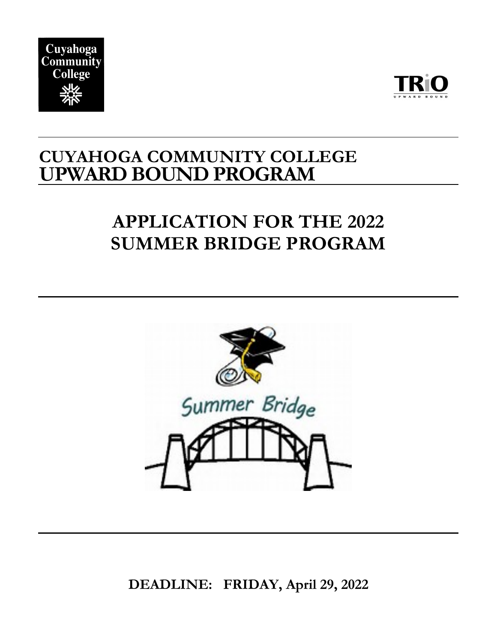



### **CUYAHOGA COMMUNITY COLLEGE UPWARD BOUND PROGRAM**

### **APPLICATION FOR THE 2022 SUMMER BRIDGE PROGRAM**



**DEADLINE: FRIDAY, April 29, 2022**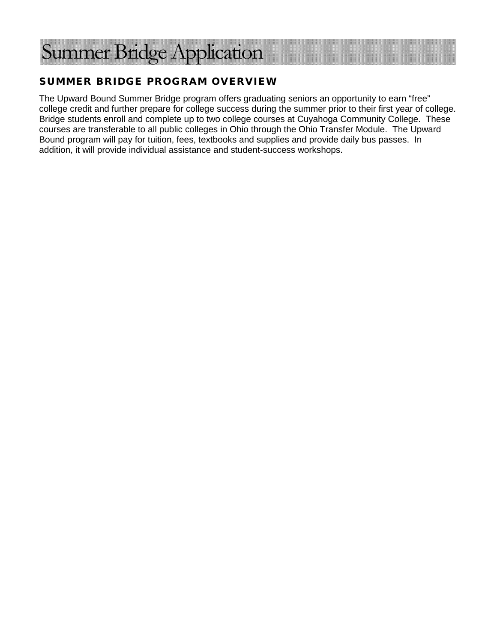# ummer Bridge Application

#### SUMMER BRIDGE PROGRAM OVERVIEW

The Upward Bound Summer Bridge program offers graduating seniors an opportunity to earn "free" college credit and further prepare for college success during the summer prior to their first year of college. Bridge students enroll and complete up to two college courses at Cuyahoga Community College. These courses are transferable to all public colleges in Ohio through the Ohio Transfer Module. The Upward Bound program will pay for tuition, fees, textbooks and supplies and provide daily bus passes. In addition, it will provide individual assistance and student-success workshops.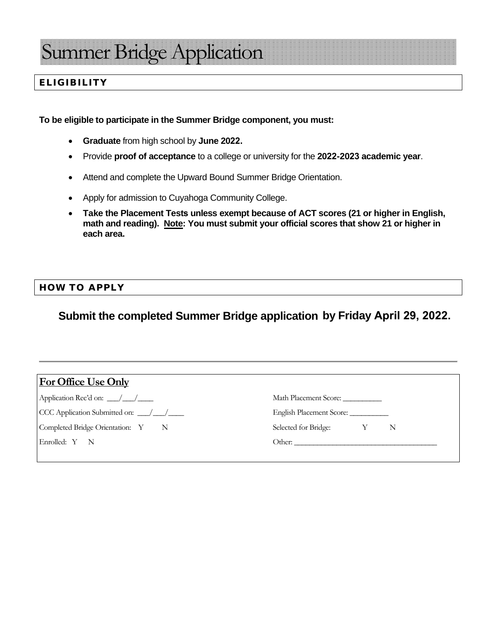### ummer Bridge Application

#### ELIGIBILITY

**To be eligible to participate in the Summer Bridge component, you must:** 

- **Graduate** from high school by **June 2022.**
- Provide **proof of acceptance** to a college or university for the **2022-2023 academic year**.
- Attend and complete the Upward Bound Summer Bridge Orientation.
- Apply for admission to Cuyahoga Community College.
- **Take the Placement Tests unless exempt because of ACT scores (21 or higher in English, math and reading). Note: You must submit your official scores that show 21 or higher in each area.**

#### HOW TO APPLY

#### **Submit the completed Summer Bridge application by Friday April 29, 2022.**

| Math Placement Score:       |
|-----------------------------|
|                             |
| Selected for Bridge: Y<br>N |
|                             |
|                             |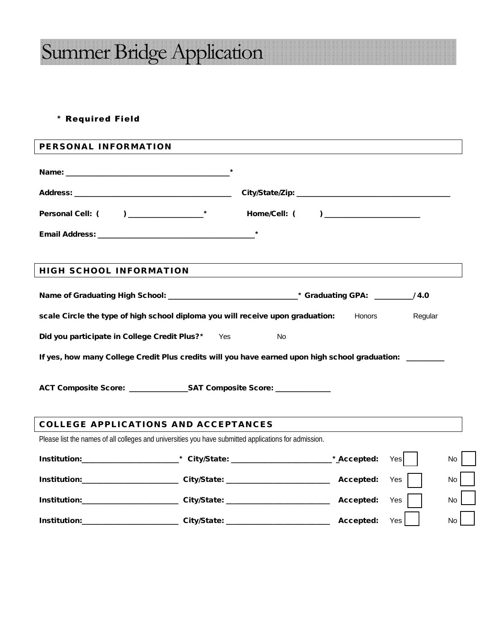## Summer Bridge Application

#### \* Required Field

| PERSONAL INFORMATION                                                                                    |  |  |     |           |  |
|---------------------------------------------------------------------------------------------------------|--|--|-----|-----------|--|
|                                                                                                         |  |  |     |           |  |
|                                                                                                         |  |  |     |           |  |
|                                                                                                         |  |  |     |           |  |
|                                                                                                         |  |  |     |           |  |
| <b>HIGH SCHOOL INFORMATION</b>                                                                          |  |  |     |           |  |
|                                                                                                         |  |  |     |           |  |
|                                                                                                         |  |  |     |           |  |
| scale Circle the type of high school diploma you will receive upon graduation: Honors<br>Regular        |  |  |     |           |  |
| Did you participate in College Credit Plus?* Yes<br><b>No</b>                                           |  |  |     |           |  |
| If yes, how many College Credit Plus credits will you have earned upon high school graduation: ________ |  |  |     |           |  |
| ACT Composite Score: ________________SAT Composite Score: _____________                                 |  |  |     |           |  |
| <b>COLLEGE APPLICATIONS AND ACCEPTANCES</b>                                                             |  |  |     |           |  |
| Please list the names of all colleges and universities you have submitted applications for admission.   |  |  |     |           |  |
| Institution:_________________________* City/State: ___________________________* Accepted:               |  |  | Yes | No.       |  |
| Institution:_______________________City/State: _________________________________ Accepted:              |  |  | Yes | <b>No</b> |  |
| Institution:_______________________City/State: _________________________________ Accepted:              |  |  | Yes | <b>No</b> |  |
| Institution:_________________________City/State: _______________________________ Accepted:              |  |  | Yes | No        |  |